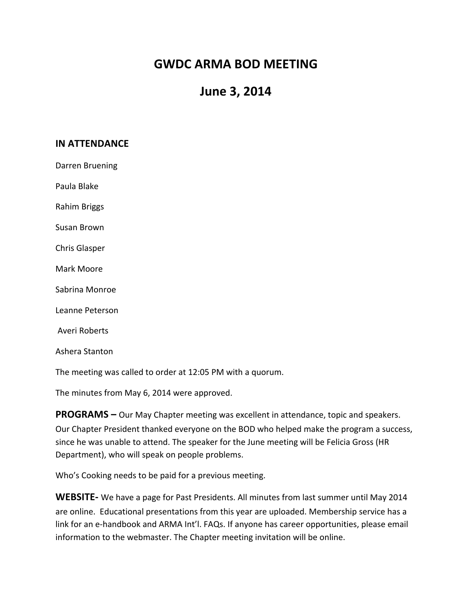## **GWDC ARMA BOD MEETING**

## **June 3, 2014**

## **IN ATTENDANCE**

Darren Bruening

Paula Blake

Rahim Briggs

Susan Brown

Chris Glasper

Mark Moore

Sabrina Monroe

Leanne Peterson

Averi Roberts

Ashera Stanton

The meeting was called to order at 12:05 PM with a quorum.

The minutes from May 6, 2014 were approved.

**PROGRAMS** – Our May Chapter meeting was excellent in attendance, topic and speakers. Our Chapter President thanked everyone on the BOD who helped make the program a success, since he was unable to attend. The speaker for the June meeting will be Felicia Gross (HR Department), who will speak on people problems.

Who's Cooking needs to be paid for a previous meeting.

**WEBSITE-** We have a page for Past Presidents. All minutes from last summer until May 2014 are online. Educational presentations from this year are uploaded. Membership service has a link for an e-handbook and ARMA Int'l. FAQs. If anyone has career opportunities, please email information to the webmaster. The Chapter meeting invitation will be online.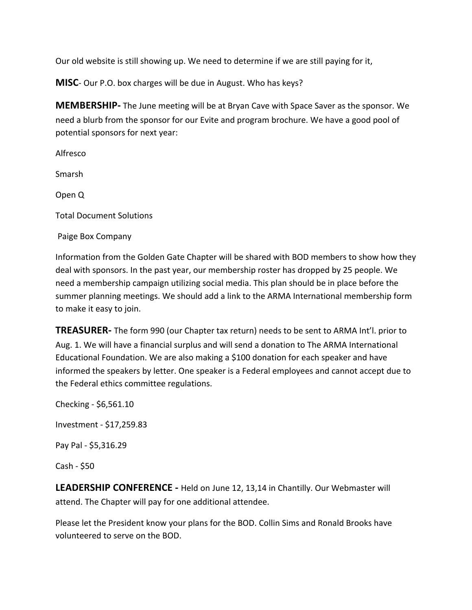Our old website is still showing up. We need to determine if we are still paying for it,

**MISC**- Our P.O. box charges will be due in August. Who has keys?

**MEMBERSHIP-** The June meeting will be at Bryan Cave with Space Saver as the sponsor. We need a blurb from the sponsor for our Evite and program brochure. We have a good pool of potential sponsors for next year:

Alfresco Smarsh Open Q **Total Document Solutions** Paige Box Company

Information from the Golden Gate Chapter will be shared with BOD members to show how they deal with sponsors. In the past year, our membership roster has dropped by 25 people. We need a membership campaign utilizing social media. This plan should be in place before the summer planning meetings. We should add a link to the ARMA International membership form to make it easy to join.

**TREASURER-** The form 990 (our Chapter tax return) needs to be sent to ARMA Int'l. prior to Aug. 1. We will have a financial surplus and will send a donation to The ARMA International Educational Foundation. We are also making a \$100 donation for each speaker and have informed the speakers by letter. One speaker is a Federal employees and cannot accept due to the Federal ethics committee regulations.

Checking - \$6,561.10 Investment - \$17,259.83 Pay Pal - \$5,316.29  $Cash - $50$ 

**LEADERSHIP CONFERENCE** - Held on June 12, 13,14 in Chantilly. Our Webmaster will attend. The Chapter will pay for one additional attendee.

Please let the President know your plans for the BOD. Collin Sims and Ronald Brooks have volunteered to serve on the BOD.